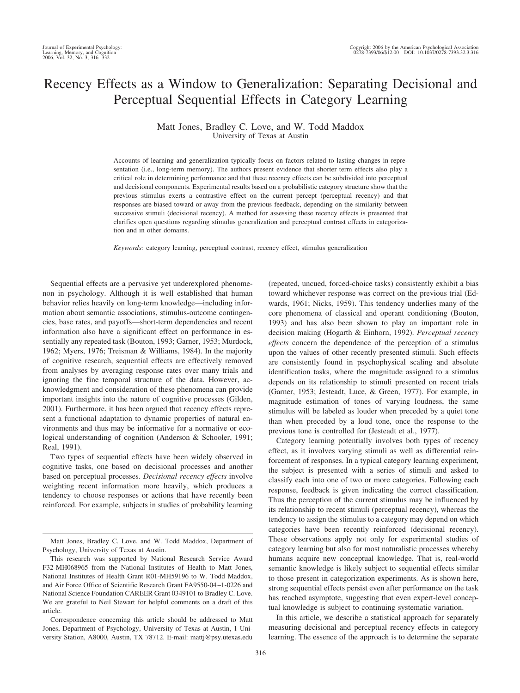# Recency Effects as a Window to Generalization: Separating Decisional and Perceptual Sequential Effects in Category Learning

## Matt Jones, Bradley C. Love, and W. Todd Maddox University of Texas at Austin

Accounts of learning and generalization typically focus on factors related to lasting changes in representation (i.e., long-term memory). The authors present evidence that shorter term effects also play a critical role in determining performance and that these recency effects can be subdivided into perceptual and decisional components. Experimental results based on a probabilistic category structure show that the previous stimulus exerts a contrastive effect on the current percept (perceptual recency) and that responses are biased toward or away from the previous feedback, depending on the similarity between successive stimuli (decisional recency). A method for assessing these recency effects is presented that clarifies open questions regarding stimulus generalization and perceptual contrast effects in categorization and in other domains.

*Keywords:* category learning, perceptual contrast, recency effect, stimulus generalization

Sequential effects are a pervasive yet underexplored phenomenon in psychology. Although it is well established that human behavior relies heavily on long-term knowledge—including information about semantic associations, stimulus-outcome contingencies, base rates, and payoffs—short-term dependencies and recent information also have a significant effect on performance in essentially any repeated task (Bouton, 1993; Garner, 1953; Murdock, 1962; Myers, 1976; Treisman & Williams, 1984). In the majority of cognitive research, sequential effects are effectively removed from analyses by averaging response rates over many trials and ignoring the fine temporal structure of the data. However, acknowledgment and consideration of these phenomena can provide important insights into the nature of cognitive processes (Gilden, 2001). Furthermore, it has been argued that recency effects represent a functional adaptation to dynamic properties of natural environments and thus may be informative for a normative or ecological understanding of cognition (Anderson & Schooler, 1991; Real, 1991).

Two types of sequential effects have been widely observed in cognitive tasks, one based on decisional processes and another based on perceptual processes. *Decisional recency effects* involve weighting recent information more heavily, which produces a tendency to choose responses or actions that have recently been reinforced. For example, subjects in studies of probability learning (repeated, uncued, forced-choice tasks) consistently exhibit a bias toward whichever response was correct on the previous trial (Edwards, 1961; Nicks, 1959). This tendency underlies many of the core phenomena of classical and operant conditioning (Bouton, 1993) and has also been shown to play an important role in decision making (Hogarth & Einhorn, 1992). *Perceptual recency effects* concern the dependence of the perception of a stimulus upon the values of other recently presented stimuli. Such effects are consistently found in psychophysical scaling and absolute identification tasks, where the magnitude assigned to a stimulus depends on its relationship to stimuli presented on recent trials (Garner, 1953; Jesteadt, Luce, & Green, 1977). For example, in magnitude estimation of tones of varying loudness, the same stimulus will be labeled as louder when preceded by a quiet tone than when preceded by a loud tone, once the response to the previous tone is controlled for (Jesteadt et al., 1977).

Category learning potentially involves both types of recency effect, as it involves varying stimuli as well as differential reinforcement of responses. In a typical category learning experiment, the subject is presented with a series of stimuli and asked to classify each into one of two or more categories. Following each response, feedback is given indicating the correct classification. Thus the perception of the current stimulus may be influenced by its relationship to recent stimuli (perceptual recency), whereas the tendency to assign the stimulus to a category may depend on which categories have been recently reinforced (decisional recency). These observations apply not only for experimental studies of category learning but also for most naturalistic processes whereby humans acquire new conceptual knowledge. That is, real-world semantic knowledge is likely subject to sequential effects similar to those present in categorization experiments. As is shown here, strong sequential effects persist even after performance on the task has reached asymptote, suggesting that even expert-level conceptual knowledge is subject to continuing systematic variation.

In this article, we describe a statistical approach for separately measuring decisional and perceptual recency effects in category learning. The essence of the approach is to determine the separate

Matt Jones, Bradley C. Love, and W. Todd Maddox, Department of Psychology, University of Texas at Austin.

This research was supported by National Research Service Award F32-MH068965 from the National Institutes of Health to Matt Jones, National Institutes of Health Grant R01-MH59196 to W. Todd Maddox, and Air Force Office of Scientific Research Grant FA9550-04–1-0226 and National Science Foundation CAREER Grant 0349101 to Bradley C. Love. We are grateful to Neil Stewart for helpful comments on a draft of this article.

Correspondence concerning this article should be addressed to Matt Jones, Department of Psychology, University of Texas at Austin, 1 University Station, A8000, Austin, TX 78712. E-mail: mattj@psy.utexas.edu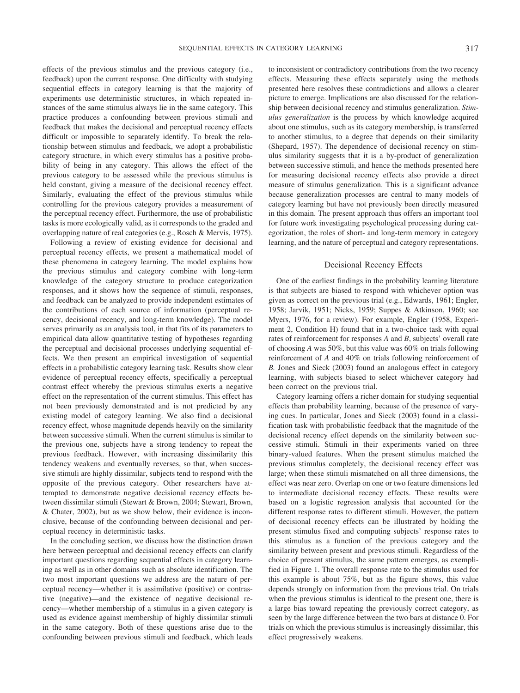effects of the previous stimulus and the previous category (i.e., feedback) upon the current response. One difficulty with studying sequential effects in category learning is that the majority of experiments use deterministic structures, in which repeated instances of the same stimulus always lie in the same category. This practice produces a confounding between previous stimuli and feedback that makes the decisional and perceptual recency effects difficult or impossible to separately identify. To break the relationship between stimulus and feedback, we adopt a probabilistic category structure, in which every stimulus has a positive probability of being in any category. This allows the effect of the previous category to be assessed while the previous stimulus is held constant, giving a measure of the decisional recency effect. Similarly, evaluating the effect of the previous stimulus while controlling for the previous category provides a measurement of the perceptual recency effect. Furthermore, the use of probabilistic tasks is more ecologically valid, as it corresponds to the graded and overlapping nature of real categories (e.g., Rosch & Mervis, 1975).

Following a review of existing evidence for decisional and perceptual recency effects, we present a mathematical model of these phenomena in category learning. The model explains how the previous stimulus and category combine with long-term knowledge of the category structure to produce categorization responses, and it shows how the sequence of stimuli, responses, and feedback can be analyzed to provide independent estimates of the contributions of each source of information (perceptual recency, decisional recency, and long-term knowledge). The model serves primarily as an analysis tool, in that fits of its parameters to empirical data allow quantitative testing of hypotheses regarding the perceptual and decisional processes underlying sequential effects. We then present an empirical investigation of sequential effects in a probabilistic category learning task. Results show clear evidence of perceptual recency effects, specifically a perceptual contrast effect whereby the previous stimulus exerts a negative effect on the representation of the current stimulus. This effect has not been previously demonstrated and is not predicted by any existing model of category learning. We also find a decisional recency effect, whose magnitude depends heavily on the similarity between successive stimuli. When the current stimulus is similar to the previous one, subjects have a strong tendency to repeat the previous feedback. However, with increasing dissimilarity this tendency weakens and eventually reverses, so that, when successive stimuli are highly dissimilar, subjects tend to respond with the opposite of the previous category. Other researchers have attempted to demonstrate negative decisional recency effects between dissimilar stimuli (Stewart & Brown, 2004; Stewart, Brown, & Chater, 2002), but as we show below, their evidence is inconclusive, because of the confounding between decisional and perceptual recency in deterministic tasks.

In the concluding section, we discuss how the distinction drawn here between perceptual and decisional recency effects can clarify important questions regarding sequential effects in category learning as well as in other domains such as absolute identification. The two most important questions we address are the nature of perceptual recency—whether it is assimilative (positive) or contrastive (negative)—and the existence of negative decisional recency—whether membership of a stimulus in a given category is used as evidence against membership of highly dissimilar stimuli in the same category. Both of these questions arise due to the confounding between previous stimuli and feedback, which leads to inconsistent or contradictory contributions from the two recency effects. Measuring these effects separately using the methods presented here resolves these contradictions and allows a clearer picture to emerge. Implications are also discussed for the relationship between decisional recency and stimulus generalization. *Stimulus generalization* is the process by which knowledge acquired about one stimulus, such as its category membership, is transferred to another stimulus, to a degree that depends on their similarity (Shepard, 1957). The dependence of decisional recency on stimulus similarity suggests that it is a by-product of generalization between successive stimuli, and hence the methods presented here for measuring decisional recency effects also provide a direct measure of stimulus generalization. This is a significant advance because generalization processes are central to many models of category learning but have not previously been directly measured in this domain. The present approach thus offers an important tool for future work investigating psychological processing during categorization, the roles of short- and long-term memory in category learning, and the nature of perceptual and category representations.

## Decisional Recency Effects

One of the earliest findings in the probability learning literature is that subjects are biased to respond with whichever option was given as correct on the previous trial (e.g., Edwards, 1961; Engler, 1958; Jarvik, 1951; Nicks, 1959; Suppes & Atkinson, 1960; see Myers, 1976, for a review). For example, Engler (1958, Experiment 2, Condition H) found that in a two-choice task with equal rates of reinforcement for responses *A* and *B*, subjects' overall rate of choosing *A* was 50%, but this value was 60% on trials following reinforcement of *A* and 40% on trials following reinforcement of *B.* Jones and Sieck (2003) found an analogous effect in category learning, with subjects biased to select whichever category had been correct on the previous trial.

Category learning offers a richer domain for studying sequential effects than probability learning, because of the presence of varying cues. In particular, Jones and Sieck (2003) found in a classification task with probabilistic feedback that the magnitude of the decisional recency effect depends on the similarity between successive stimuli. Stimuli in their experiments varied on three binary-valued features. When the present stimulus matched the previous stimulus completely, the decisional recency effect was large; when these stimuli mismatched on all three dimensions, the effect was near zero. Overlap on one or two feature dimensions led to intermediate decisional recency effects. These results were based on a logistic regression analysis that accounted for the different response rates to different stimuli. However, the pattern of decisional recency effects can be illustrated by holding the present stimulus fixed and computing subjects' response rates to this stimulus as a function of the previous category and the similarity between present and previous stimuli. Regardless of the choice of present stimulus, the same pattern emerges, as exemplified in Figure 1. The overall response rate to the stimulus used for this example is about 75%, but as the figure shows, this value depends strongly on information from the previous trial. On trials when the previous stimulus is identical to the present one, there is a large bias toward repeating the previously correct category, as seen by the large difference between the two bars at distance 0. For trials on which the previous stimulus is increasingly dissimilar, this effect progressively weakens.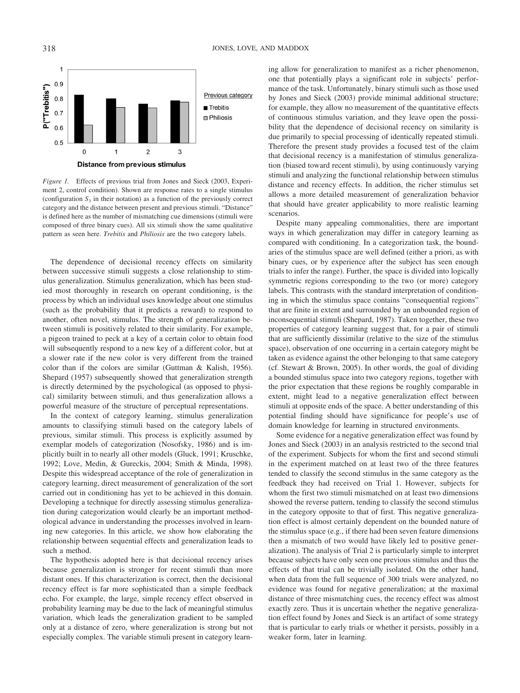

*Figure 1.* Effects of previous trial from Jones and Sieck (2003, Experiment 2, control condition). Shown are response rates to a single stimulus (configuration  $S_3$  in their notation) as a function of the previously correct category and the distance between present and previous stimuli. "Distance" is defined here as the number of mismatching cue dimensions (stimuli were composed of three binary cues). All six stimuli show the same qualitative pattern as seen here. *Trebitis* and *Philiosis* are the two category labels.

The dependence of decisional recency effects on similarity between successive stimuli suggests a close relationship to stimulus generalization. Stimulus generalization, which has been studied most thoroughly in research on operant conditioning, is the process by which an individual uses knowledge about one stimulus (such as the probability that it predicts a reward) to respond to another, often novel, stimulus. The strength of generalization between stimuli is positively related to their similarity. For example, a pigeon trained to peck at a key of a certain color to obtain food will subsequently respond to a new key of a different color, but at a slower rate if the new color is very different from the trained color than if the colors are similar (Guttman & Kalish, 1956). Shepard (1957) subsequently showed that generalization strength is directly determined by the psychological (as opposed to physical) similarity between stimuli, and thus generalization allows a powerful measure of the structure of perceptual representations.

In the context of category learning, stimulus generalization amounts to classifying stimuli based on the category labels of previous, similar stimuli. This process is explicitly assumed by exemplar models of categorization (Nosofsky, 1986) and is implicitly built in to nearly all other models (Gluck, 1991; Kruschke, 1992; Love, Medin, & Gureckis, 2004; Smith & Minda, 1998). Despite this widespread acceptance of the role of generalization in category learning, direct measurement of generalization of the sort carried out in conditioning has yet to be achieved in this domain. Developing a technique for directly assessing stimulus generalization during categorization would clearly be an important methodological advance in understanding the processes involved in learning new categories. In this article, we show how elaborating the relationship between sequential effects and generalization leads to such a method.

The hypothesis adopted here is that decisional recency arises because generalization is stronger for recent stimuli than more distant ones. If this characterization is correct, then the decisional recency effect is far more sophisticated than a simple feedback echo. For example, the large, simple recency effect observed in probability learning may be due to the lack of meaningful stimulus variation, which leads the generalization gradient to be sampled only at a distance of zero, where generalization is strong but not especially complex. The variable stimuli present in category learning allow for generalization to manifest as a richer phenomenon, one that potentially plays a significant role in subjects' performance of the task. Unfortunately, binary stimuli such as those used by Jones and Sieck (2003) provide minimal additional structure; for example, they allow no measurement of the quantitative effects of continuous stimulus variation, and they leave open the possibility that the dependence of decisional recency on similarity is due primarily to special processing of identically repeated stimuli. Therefore the present study provides a focused test of the claim that decisional recency is a manifestation of stimulus generalization (biased toward recent stimuli), by using continuously varying stimuli and analyzing the functional relationship between stimulus distance and recency effects. In addition, the richer stimulus set allows a more detailed measurement of generalization behavior that should have greater applicability to more realistic learning scenarios.

Despite many appealing commonalities, there are important ways in which generalization may differ in category learning as compared with conditioning. In a categorization task, the boundaries of the stimulus space are well defined (either a priori, as with binary cues, or by experience after the subject has seen enough trials to infer the range). Further, the space is divided into logically symmetric regions corresponding to the two (or more) category labels. This contrasts with the standard interpretation of conditioning in which the stimulus space contains "consequential regions" that are finite in extent and surrounded by an unbounded region of inconsequential stimuli (Shepard, 1987). Taken together, these two properties of category learning suggest that, for a pair of stimuli that are sufficiently dissimilar (relative to the size of the stimulus space), observation of one occurring in a certain category might be taken as evidence against the other belonging to that same category (cf. Stewart & Brown, 2005). In other words, the goal of dividing a bounded stimulus space into two category regions, together with the prior expectation that these regions be roughly comparable in extent, might lead to a negative generalization effect between stimuli at opposite ends of the space. A better understanding of this potential finding should have significance for people's use of domain knowledge for learning in structured environments.

Some evidence for a negative generalization effect was found by Jones and Sieck (2003) in an analysis restricted to the second trial of the experiment. Subjects for whom the first and second stimuli in the experiment matched on at least two of the three features tended to classify the second stimulus in the same category as the feedback they had received on Trial 1. However, subjects for whom the first two stimuli mismatched on at least two dimensions showed the reverse pattern, tending to classify the second stimulus in the category opposite to that of first. This negative generalization effect is almost certainly dependent on the bounded nature of the stimulus space (e.g., if there had been seven feature dimensions then a mismatch of two would have likely led to positive generalization). The analysis of Trial 2 is particularly simple to interpret because subjects have only seen one previous stimulus and thus the effects of that trial can be trivially isolated. On the other hand, when data from the full sequence of 300 trials were analyzed, no evidence was found for negative generalization; at the maximal distance of three mismatching cues, the recency effect was almost exactly zero. Thus it is uncertain whether the negative generalization effect found by Jones and Sieck is an artifact of some strategy that is particular to early trials or whether it persists, possibly in a weaker form, later in learning.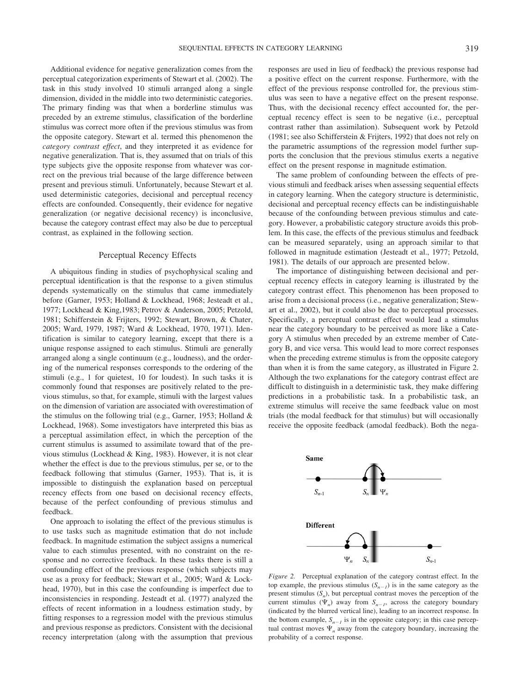Additional evidence for negative generalization comes from the perceptual categorization experiments of Stewart et al. (2002). The task in this study involved 10 stimuli arranged along a single dimension, divided in the middle into two deterministic categories. The primary finding was that when a borderline stimulus was preceded by an extreme stimulus, classification of the borderline stimulus was correct more often if the previous stimulus was from the opposite category. Stewart et al. termed this phenomenon the *category contrast effect*, and they interpreted it as evidence for negative generalization. That is, they assumed that on trials of this type subjects give the opposite response from whatever was correct on the previous trial because of the large difference between present and previous stimuli. Unfortunately, because Stewart et al. used deterministic categories, decisional and perceptual recency effects are confounded. Consequently, their evidence for negative generalization (or negative decisional recency) is inconclusive, because the category contrast effect may also be due to perceptual contrast, as explained in the following section.

#### Perceptual Recency Effects

A ubiquitous finding in studies of psychophysical scaling and perceptual identification is that the response to a given stimulus depends systematically on the stimulus that came immediately before (Garner, 1953; Holland & Lockhead, 1968; Jesteadt et al., 1977; Lockhead & King,1983; Petrov & Anderson, 2005; Petzold, 1981; Schifferstein & Frijters, 1992; Stewart, Brown, & Chater, 2005; Ward, 1979, 1987; Ward & Lockhead, 1970, 1971). Identification is similar to category learning, except that there is a unique response assigned to each stimulus. Stimuli are generally arranged along a single continuum (e.g., loudness), and the ordering of the numerical responses corresponds to the ordering of the stimuli (e.g., 1 for quietest, 10 for loudest). In such tasks it is commonly found that responses are positively related to the previous stimulus, so that, for example, stimuli with the largest values on the dimension of variation are associated with overestimation of the stimulus on the following trial (e.g., Garner, 1953; Holland & Lockhead, 1968). Some investigators have interpreted this bias as a perceptual assimilation effect, in which the perception of the current stimulus is assumed to assimilate toward that of the previous stimulus (Lockhead & King, 1983). However, it is not clear whether the effect is due to the previous stimulus, per se, or to the feedback following that stimulus (Garner, 1953). That is, it is impossible to distinguish the explanation based on perceptual recency effects from one based on decisional recency effects, because of the perfect confounding of previous stimulus and feedback.

One approach to isolating the effect of the previous stimulus is to use tasks such as magnitude estimation that do not include feedback. In magnitude estimation the subject assigns a numerical value to each stimulus presented, with no constraint on the response and no corrective feedback. In these tasks there is still a confounding effect of the previous response (which subjects may use as a proxy for feedback; Stewart et al., 2005; Ward & Lockhead, 1970), but in this case the confounding is imperfect due to inconsistencies in responding. Jesteadt et al. (1977) analyzed the effects of recent information in a loudness estimation study, by fitting responses to a regression model with the previous stimulus and previous response as predictors. Consistent with the decisional recency interpretation (along with the assumption that previous responses are used in lieu of feedback) the previous response had a positive effect on the current response. Furthermore, with the effect of the previous response controlled for, the previous stimulus was seen to have a negative effect on the present response. Thus, with the decisional recency effect accounted for, the perceptual recency effect is seen to be negative (i.e., perceptual contrast rather than assimilation). Subsequent work by Petzold (1981; see also Schifferstein & Frijters, 1992) that does not rely on the parametric assumptions of the regression model further supports the conclusion that the previous stimulus exerts a negative effect on the present response in magnitude estimation.

The same problem of confounding between the effects of previous stimuli and feedback arises when assessing sequential effects in category learning. When the category structure is deterministic, decisional and perceptual recency effects can be indistinguishable because of the confounding between previous stimulus and category. However, a probabilistic category structure avoids this problem. In this case, the effects of the previous stimulus and feedback can be measured separately, using an approach similar to that followed in magnitude estimation (Jesteadt et al., 1977; Petzold, 1981). The details of our approach are presented below.

The importance of distinguishing between decisional and perceptual recency effects in category learning is illustrated by the category contrast effect. This phenomenon has been proposed to arise from a decisional process (i.e., negative generalization; Stewart et al., 2002), but it could also be due to perceptual processes. Specifically, a perceptual contrast effect would lead a stimulus near the category boundary to be perceived as more like a Category A stimulus when preceded by an extreme member of Category B, and vice versa. This would lead to more correct responses when the preceding extreme stimulus is from the opposite category than when it is from the same category, as illustrated in Figure 2. Although the two explanations for the category contrast effect are difficult to distinguish in a deterministic task, they make differing predictions in a probabilistic task. In a probabilistic task, an extreme stimulus will receive the same feedback value on most trials (the modal feedback for that stimulus) but will occasionally receive the opposite feedback (amodal feedback). Both the nega-



*Figure 2.* Perceptual explanation of the category contrast effect. In the top example, the previous stimulus  $(S_{n-1})$  is in the same category as the present stimulus  $(S_n)$ , but perceptual contrast moves the perception of the current stimulus  $(\Psi_n)$  away from  $S_{n-1}$ , across the category boundary (indicated by the blurred vertical line), leading to an incorrect response. In the bottom example,  $S_{n-1}$  is in the opposite category; in this case perceptual contrast moves  $\Psi_n$  away from the category boundary, increasing the probability of a correct response.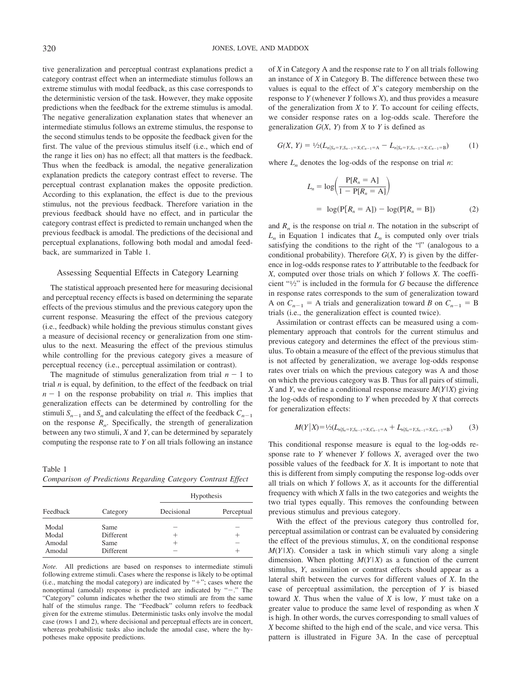tive generalization and perceptual contrast explanations predict a category contrast effect when an intermediate stimulus follows an extreme stimulus with modal feedback, as this case corresponds to the deterministic version of the task. However, they make opposite predictions when the feedback for the extreme stimulus is amodal. The negative generalization explanation states that whenever an intermediate stimulus follows an extreme stimulus, the response to the second stimulus tends to be opposite the feedback given for the first. The value of the previous stimulus itself (i.e., which end of the range it lies on) has no effect; all that matters is the feedback. Thus when the feedback is amodal, the negative generalization explanation predicts the category contrast effect to reverse. The perceptual contrast explanation makes the opposite prediction. According to this explanation, the effect is due to the previous stimulus, not the previous feedback. Therefore variation in the previous feedback should have no effect, and in particular the category contrast effect is predicted to remain unchanged when the previous feedback is amodal. The predictions of the decisional and perceptual explanations, following both modal and amodal feedback, are summarized in Table 1.

#### Assessing Sequential Effects in Category Learning

The statistical approach presented here for measuring decisional and perceptual recency effects is based on determining the separate effects of the previous stimulus and the previous category upon the current response. Measuring the effect of the previous category (i.e., feedback) while holding the previous stimulus constant gives a measure of decisional recency or generalization from one stimulus to the next. Measuring the effect of the previous stimulus while controlling for the previous category gives a measure of perceptual recency (i.e., perceptual assimilation or contrast).

The magnitude of stimulus generalization from trial  $n - 1$  to trial *n* is equal, by definition, to the effect of the feedback on trial  $n - 1$  on the response probability on trial *n*. This implies that generalization effects can be determined by controlling for the stimuli  $S_{n-1}$  and  $S_n$  and calculating the effect of the feedback  $C_{n-1}$ on the response  $R_n$ . Specifically, the strength of generalization between any two stimuli, *X* and *Y*, can be determined by separately computing the response rate to *Y* on all trials following an instance

Table 1 *Comparison of Predictions Regarding Category Contrast Effect*

| Feedback |                  | Hypothesis |            |  |  |
|----------|------------------|------------|------------|--|--|
|          | Category         | Decisional | Perceptual |  |  |
| Modal    | Same             |            |            |  |  |
| Modal    | <b>Different</b> | +          | $^+$       |  |  |
| Amodal   | Same             | $\pm$      |            |  |  |
| Amodal   | <b>Different</b> |            |            |  |  |

*Note.* All predictions are based on responses to intermediate stimuli following extreme stimuli. Cases where the response is likely to be optimal (i.e., matching the modal category) are indicated by " $+$ "; cases where the nonoptimal (amodal) response is predicted are indicated by " $-$ ." The "Category" column indicates whether the two stimuli are from the same half of the stimulus range. The "Feedback" column refers to feedback given for the extreme stimulus. Deterministic tasks only involve the modal case (rows 1 and 2), where decisional and perceptual effects are in concert, whereas probabilistic tasks also include the amodal case, where the hypotheses make opposite predictions.

of *X* in Category A and the response rate to *Y* on all trials following an instance of *X* in Category B. The difference between these two values is equal to the effect of *X*'s category membership on the response to *Y* (whenever *Y* follows *X*), and thus provides a measure of the generalization from *X* to *Y*. To account for ceiling effects, we consider response rates on a log-odds scale. Therefore the generalization  $G(X, Y)$  from  $X$  to  $Y$  is defined as

$$
G(X, Y) = \frac{1}{2}(L_{n|S_n = Y, S_{n-1} = X, C_{n-1} = A} - L_{n|S_n = Y, S_{n-1} = X, C_{n-1} = B})
$$
(1)

where  $L_n$  denotes the log-odds of the response on trial *n*:

$$
L_n = \log\left(\frac{P[R_n = A]}{1 - P[R_n = A]}\right)
$$
  
= 
$$
\log(P[R_n = A]) - \log(P[R_n = B])
$$
 (2)

and  $R_n$  is the response on trial  $n$ . The notation in the subscript of  $L_n$  in Equation 1 indicates that  $L_n$  is computed only over trials satisfying the conditions to the right of the "|" (analogous to a conditional probability). Therefore *G*(*X*, *Y*) is given by the difference in log-odds response rates to *Y* attributable to the feedback for *X*, computed over those trials on which *Y* follows *X*. The coefficient "1⁄2" is included in the formula for *G* because the difference in response rates corresponds to the sum of generalization toward A on  $C_{n-1}$  = A trials and generalization toward *B* on  $C_{n-1}$  = B trials (i.e., the generalization effect is counted twice).

Assimilation or contrast effects can be measured using a complementary approach that controls for the current stimulus and previous category and determines the effect of the previous stimulus. To obtain a measure of the effect of the previous stimulus that is not affected by generalization, we average log-odds response rates over trials on which the previous category was A and those on which the previous category was B. Thus for all pairs of stimuli, *X* and *Y*, we define a conditional response measure *M*(*Y* |*X*) giving the log-odds of responding to *Y* when preceded by *X* that corrects for generalization effects:

$$
M(Y|X) = \frac{1}{2}(L_{n|S_n = Y, S_{n-1} = X, C_{n-1} = A} + L_{n|S_n = Y, S_{n-1} = X, C_{n-1} = B})
$$
(3)

This conditional response measure is equal to the log-odds response rate to *Y* whenever *Y* follows *X*, averaged over the two possible values of the feedback for *X*. It is important to note that this is different from simply computing the response log-odds over all trials on which *Y* follows *X*, as it accounts for the differential frequency with which *X* falls in the two categories and weights the two trial types equally. This removes the confounding between previous stimulus and previous category.

With the effect of the previous category thus controlled for, perceptual assimilation or contrast can be evaluated by considering the effect of the previous stimulus, *X*, on the conditional response  $M(Y|X)$ . Consider a task in which stimuli vary along a single dimension. When plotting  $M(Y|X)$  as a function of the current stimulus, *Y*, assimilation or contrast effects should appear as a lateral shift between the curves for different values of *X*. In the case of perceptual assimilation, the perception of *Y* is biased toward *X*. Thus when the value of *X* is low, *Y* must take on a greater value to produce the same level of responding as when *X* is high. In other words, the curves corresponding to small values of *X* become shifted to the high end of the scale, and vice versa. This pattern is illustrated in Figure 3A. In the case of perceptual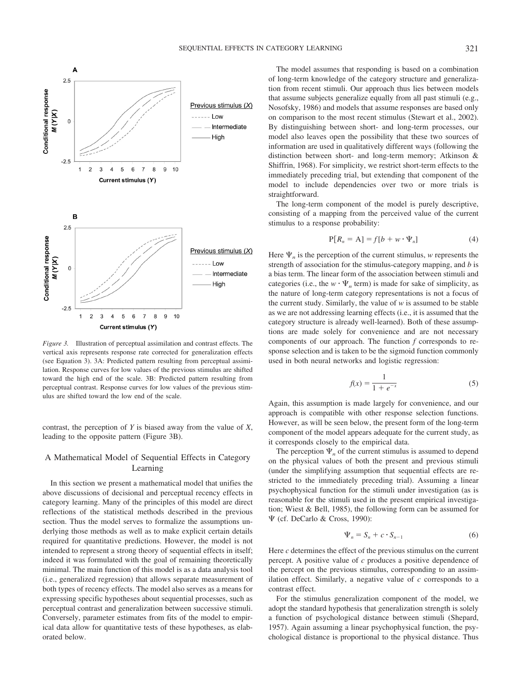

*Figure 3.* Illustration of perceptual assimilation and contrast effects. The vertical axis represents response rate corrected for generalization effects (see Equation 3). 3A: Predicted pattern resulting from perceptual assimilation. Response curves for low values of the previous stimulus are shifted toward the high end of the scale. 3B: Predicted pattern resulting from perceptual contrast. Response curves for low values of the previous stimulus are shifted toward the low end of the scale.

contrast, the perception of *Y* is biased away from the value of *X*, leading to the opposite pattern (Figure 3B).

# A Mathematical Model of Sequential Effects in Category Learning

In this section we present a mathematical model that unifies the above discussions of decisional and perceptual recency effects in category learning. Many of the principles of this model are direct reflections of the statistical methods described in the previous section. Thus the model serves to formalize the assumptions underlying those methods as well as to make explicit certain details required for quantitative predictions. However, the model is not intended to represent a strong theory of sequential effects in itself; indeed it was formulated with the goal of remaining theoretically minimal. The main function of this model is as a data analysis tool (i.e., generalized regression) that allows separate measurement of both types of recency effects. The model also serves as a means for expressing specific hypotheses about sequential processes, such as perceptual contrast and generalization between successive stimuli. Conversely, parameter estimates from fits of the model to empirical data allow for quantitative tests of these hypotheses, as elaborated below.

The model assumes that responding is based on a combination of long-term knowledge of the category structure and generalization from recent stimuli. Our approach thus lies between models that assume subjects generalize equally from all past stimuli (e.g., Nosofsky, 1986) and models that assume responses are based only on comparison to the most recent stimulus (Stewart et al., 2002). By distinguishing between short- and long-term processes, our model also leaves open the possibility that these two sources of information are used in qualitatively different ways (following the distinction between short- and long-term memory; Atkinson & Shiffrin, 1968). For simplicity, we restrict short-term effects to the immediately preceding trial, but extending that component of the model to include dependencies over two or more trials is straightforward.

The long-term component of the model is purely descriptive, consisting of a mapping from the perceived value of the current stimulus to a response probability:

$$
P[R_n = A] = f[b + w \cdot \Psi_n]
$$
 (4)

Here  $\Psi_n$  is the perception of the current stimulus, *w* represents the strength of association for the stimulus-category mapping, and *b* is a bias term. The linear form of the association between stimuli and categories (i.e., the  $w \cdot \Psi_n$  term) is made for sake of simplicity, as the nature of long-term category representations is not a focus of the current study. Similarly, the value of  $w$  is assumed to be stable as we are not addressing learning effects (i.e., it is assumed that the category structure is already well-learned). Both of these assumptions are made solely for convenience and are not necessary components of our approach. The function *f* corresponds to response selection and is taken to be the sigmoid function commonly used in both neural networks and logistic regression:

$$
f(x) = \frac{1}{1 + e^{-x}}
$$
 (5)

Again, this assumption is made largely for convenience, and our approach is compatible with other response selection functions. However, as will be seen below, the present form of the long-term component of the model appears adequate for the current study, as it corresponds closely to the empirical data.

The perception  $\Psi_n$  of the current stimulus is assumed to depend on the physical values of both the present and previous stimuli (under the simplifying assumption that sequential effects are restricted to the immediately preceding trial). Assuming a linear psychophysical function for the stimuli under investigation (as is reasonable for the stimuli used in the present empirical investigation; Wiest & Bell, 1985), the following form can be assumed for - (cf. DeCarlo & Cross, 1990):

$$
\Psi_n = S_n + c \cdot S_{n-1} \tag{6}
$$

Here *c* determines the effect of the previous stimulus on the current percept. A positive value of *c* produces a positive dependence of the percept on the previous stimulus, corresponding to an assimilation effect. Similarly, a negative value of *c* corresponds to a contrast effect.

For the stimulus generalization component of the model, we adopt the standard hypothesis that generalization strength is solely a function of psychological distance between stimuli (Shepard, 1957). Again assuming a linear psychophysical function, the psychological distance is proportional to the physical distance. Thus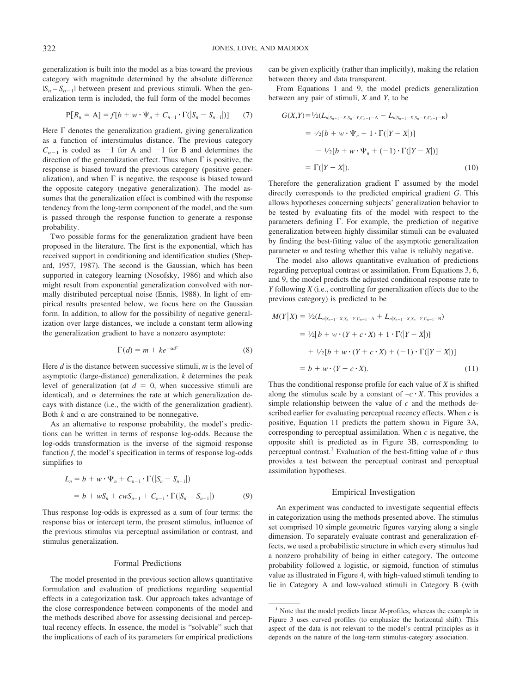generalization is built into the model as a bias toward the previous category with magnitude determined by the absolute difference  $|S_n - S_{n-1}|$  between present and previous stimuli. When the generalization term is included, the full form of the model becomes

$$
P[R_n = A] = f[b + w \cdot \Psi_n + C_{n-1} \cdot \Gamma(|S_n - S_{n-1}|)] \tag{7}
$$

Here  $\Gamma$  denotes the generalization gradient, giving generalization as a function of interstimulus distance. The previous category  $C_{n-1}$  is coded as +1 for A and -1 for B and determines the direction of the generalization effect. Thus when  $\Gamma$  is positive, the response is biased toward the previous category (positive generalization), and when  $\Gamma$  is negative, the response is biased toward the opposite category (negative generalization). The model assumes that the generalization effect is combined with the response tendency from the long-term component of the model, and the sum is passed through the response function to generate a response probability.

Two possible forms for the generalization gradient have been proposed in the literature. The first is the exponential, which has received support in conditioning and identification studies (Shepard, 1957, 1987). The second is the Gaussian, which has been supported in category learning (Nosofsky, 1986) and which also might result from exponential generalization convolved with normally distributed perceptual noise (Ennis, 1988). In light of empirical results presented below, we focus here on the Gaussian form. In addition, to allow for the possibility of negative generalization over large distances, we include a constant term allowing the generalization gradient to have a nonzero asymptote:

$$
\Gamma(d) = m + ke^{-\alpha d^2} \tag{8}
$$

Here *d* is the distance between successive stimuli, *m* is the level of asymptotic (large-distance) generalization, *k* determines the peak level of generalization (at  $d = 0$ , when successive stimuli are identical), and  $\alpha$  determines the rate at which generalization decays with distance (i.e., the width of the generalization gradient). Both  $k$  and  $\alpha$  are constrained to be nonnegative.

As an alternative to response probability, the model's predictions can be written in terms of response log-odds. Because the log-odds transformation is the inverse of the sigmoid response function *f*, the model's specification in terms of response log-odds simplifies to

$$
L_n = b + w \cdot \Psi_n + C_{n-1} \cdot \Gamma(|S_n - S_{n-1}|)
$$
  
= b + wS\_n + cwS\_{n-1} + C\_{n-1} \cdot \Gamma(|S\_n - S\_{n-1}|) (9)

Thus response log-odds is expressed as a sum of four terms: the response bias or intercept term, the present stimulus, influence of the previous stimulus via perceptual assimilation or contrast, and stimulus generalization.

#### Formal Predictions

The model presented in the previous section allows quantitative formulation and evaluation of predictions regarding sequential effects in a categorization task. Our approach takes advantage of the close correspondence between components of the model and the methods described above for assessing decisional and perceptual recency effects. In essence, the model is "solvable" such that the implications of each of its parameters for empirical predictions

can be given explicitly (rather than implicitly), making the relation between theory and data transparent.

From Equations 1 and 9, the model predicts generalization between any pair of stimuli, *X* and *Y*, to be

$$
G(X,Y) = \frac{1}{2}(L_{n|S_{n-1}=X,S_n=Y,C_{n-1}=A} - L_{n|S_{n-1}=X,S_n=Y,C_{n-1}=B})
$$
  
= 
$$
\frac{1}{2}[b+w \cdot \Psi_n + 1 \cdot \Gamma(|Y-X|)]
$$
  

$$
- \frac{1}{2}[b+w \cdot \Psi_n + (-1) \cdot \Gamma(|Y-X|)]
$$
  
= 
$$
\Gamma(|Y-X|).
$$
 (10)

Therefore the generalization gradient  $\Gamma$  assumed by the model directly corresponds to the predicted empirical gradient *G*. This allows hypotheses concerning subjects' generalization behavior to be tested by evaluating fits of the model with respect to the parameters defining  $\Gamma$ . For example, the prediction of negative generalization between highly dissimilar stimuli can be evaluated by finding the best-fitting value of the asymptotic generalization parameter *m* and testing whether this value is reliably negative.

The model also allows quantitative evaluation of predictions regarding perceptual contrast or assimilation. From Equations 3, 6, and 9, the model predicts the adjusted conditional response rate to *Y* following *X* (i.e., controlling for generalization effects due to the previous category) is predicted to be

$$
M(Y|X) = \frac{1}{2}(L_{n|S_{n-1}=X,S_n=Y,C_{n-1}=A} + L_{n|S_{n-1}=X,S_n=Y,C_{n-1}=B})
$$
  
= 
$$
\frac{1}{2}[b+w\cdot(Y+c\cdot X) + 1\cdot\Gamma(|Y-X|)]
$$
  
+ 
$$
\frac{1}{2}[b+w\cdot(Y+c\cdot X) + (-1)\cdot\Gamma(|Y-X|)]
$$
  
= 
$$
b+w\cdot(Y+c\cdot X).
$$
 (11)

Thus the conditional response profile for each value of *X* is shifted along the stimulus scale by a constant of  $-c \cdot X$ . This provides a simple relationship between the value of *c* and the methods described earlier for evaluating perceptual recency effects. When *c* is positive, Equation 11 predicts the pattern shown in Figure 3A, corresponding to perceptual assimilation. When *c* is negative, the opposite shift is predicted as in Figure 3B, corresponding to perceptual contrast.<sup>1</sup> Evaluation of the best-fitting value of  $c$  thus provides a test between the perceptual contrast and perceptual assimilation hypotheses.

#### Empirical Investigation

An experiment was conducted to investigate sequential effects in categorization using the methods presented above. The stimulus set comprised 10 simple geometric figures varying along a single dimension. To separately evaluate contrast and generalization effects, we used a probabilistic structure in which every stimulus had a nonzero probability of being in either category. The outcome probability followed a logistic, or sigmoid, function of stimulus value as illustrated in Figure 4, with high-valued stimuli tending to lie in Category A and low-valued stimuli in Category B (with

<sup>&</sup>lt;sup>1</sup> Note that the model predicts linear *M*-profiles, whereas the example in Figure 3 uses curved profiles (to emphasize the horizontal shift). This aspect of the data is not relevant to the model's central principles as it depends on the nature of the long-term stimulus-category association.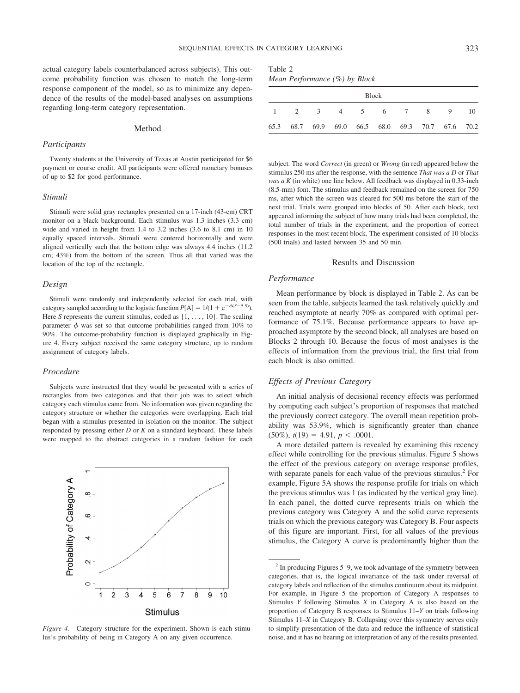actual category labels counterbalanced across subjects). This outcome probability function was chosen to match the long-term response component of the model, so as to minimize any dependence of the results of the model-based analyses on assumptions regarding long-term category representation.

#### Method

# *Participants*

Twenty students at the University of Texas at Austin participated for \$6 payment or course credit. All participants were offered monetary bonuses of up to \$2 for good performance.

#### *Stimuli*

Stimuli were solid gray rectangles presented on a 17-inch (43-cm) CRT monitor on a black background. Each stimulus was 1.3 inches (3.3 cm) wide and varied in height from 1.4 to 3.2 inches (3.6 to 8.1 cm) in 10 equally spaced intervals. Stimuli were centered horizontally and were aligned vertically such that the bottom edge was always 4.4 inches (11.2 cm; 43%) from the bottom of the screen. Thus all that varied was the location of the top of the rectangle.

#### *Design*

Stimuli were randomly and independently selected for each trial, with category sampled according to the logistic function  $P[A] = 1/(1 + e^{-\phi(S-5.5)})$ . Here *S* represents the current stimulus, coded as  $\{1, \ldots, 10\}$ . The scaling parameter  $\phi$  was set so that outcome probabilities ranged from 10% to 90%. The outcome-probability function is displayed graphically in Figure 4. Every subject received the same category structure, up to random assignment of category labels.

#### *Procedure*

Subjects were instructed that they would be presented with a series of rectangles from two categories and that their job was to select which category each stimulus came from. No information was given regarding the category structure or whether the categories were overlapping. Each trial began with a stimulus presented in isolation on the monitor. The subject responded by pressing either *D* or *K* on a standard keyboard. These labels were mapped to the abstract categories in a random fashion for each



*Figure 4.* Category structure for the experiment. Shown is each stimulus's probability of being in Category A on any given occurrence.

| Table 2 |                                                     |  |
|---------|-----------------------------------------------------|--|
|         | $\mathbf{M}$ $\mathbf{D}$ $\mathbf{C}$ $\mathbf{C}$ |  |

| Mean Performance (%) by Block |  |  |  |
|-------------------------------|--|--|--|
|-------------------------------|--|--|--|

| <b>Block</b> |                                                   |  |  |  |  |  |  |    |
|--------------|---------------------------------------------------|--|--|--|--|--|--|----|
|              | 2 3 4 5 6 7 8                                     |  |  |  |  |  |  | 10 |
|              | 65.3 68.7 69.9 69.0 66.5 68.0 69.3 70.7 67.6 70.2 |  |  |  |  |  |  |    |

subject. The word *Correct* (in green) or *Wrong* (in red) appeared below the stimulus 250 ms after the response, with the sentence *That was a D* or *That was a K* (in white) one line below. All feedback was displayed in 0.33-inch (8.5-mm) font. The stimulus and feedback remained on the screen for 750 ms, after which the screen was cleared for 500 ms before the start of the next trial. Trials were grouped into blocks of 50. After each block, text appeared informing the subject of how many trials had been completed, the total number of trials in the experiment, and the proportion of correct responses in the most recent block. The experiment consisted of 10 blocks (500 trials) and lasted between 35 and 50 min.

#### Results and Discussion

#### *Performance*

Mean performance by block is displayed in Table 2. As can be seen from the table, subjects learned the task relatively quickly and reached asymptote at nearly 70% as compared with optimal performance of 75.1%. Because performance appears to have approached asymptote by the second block, all analyses are based on Blocks 2 through 10. Because the focus of most analyses is the effects of information from the previous trial, the first trial from each block is also omitted.

#### *Effects of Previous Category*

An initial analysis of decisional recency effects was performed by computing each subject's proportion of responses that matched the previously correct category. The overall mean repetition probability was 53.9%, which is significantly greater than chance  $(50\%), t(19) = 4.91, p < .0001.$ 

A more detailed pattern is revealed by examining this recency effect while controlling for the previous stimulus. Figure 5 shows the effect of the previous category on average response profiles, with separate panels for each value of the previous stimulus.<sup>2</sup> For example, Figure 5A shows the response profile for trials on which the previous stimulus was 1 (as indicated by the vertical gray line). In each panel, the dotted curve represents trials on which the previous category was Category A and the solid curve represents trials on which the previous category was Category B. Four aspects of this figure are important. First, for all values of the previous stimulus, the Category A curve is predominantly higher than the

<sup>2</sup> In producing Figures 5–9, we took advantage of the symmetry between categories, that is, the logical invariance of the task under reversal of category labels and reflection of the stimulus continuum about its midpoint. For example, in Figure 5 the proportion of Category A responses to Stimulus *Y* following Stimulus *X* in Category A is also based on the proportion of Category B responses to Stimulus 11–*Y* on trials following Stimulus 11–*X* in Category B. Collapsing over this symmetry serves only to simplify presentation of the data and reduce the influence of statistical noise, and it has no bearing on interpretation of any of the results presented.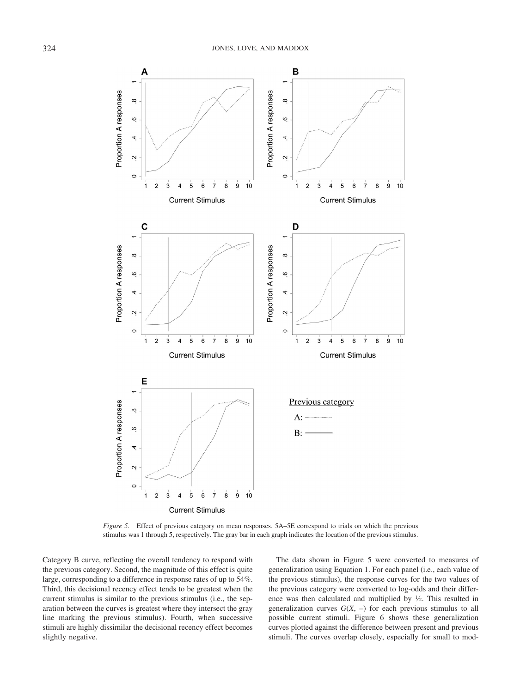

*Figure 5.* Effect of previous category on mean responses. 5A–5E correspond to trials on which the previous stimulus was 1 through 5, respectively. The gray bar in each graph indicates the location of the previous stimulus.

Category B curve, reflecting the overall tendency to respond with the previous category. Second, the magnitude of this effect is quite large, corresponding to a difference in response rates of up to 54%. Third, this decisional recency effect tends to be greatest when the current stimulus is similar to the previous stimulus (i.e., the separation between the curves is greatest where they intersect the gray line marking the previous stimulus). Fourth, when successive stimuli are highly dissimilar the decisional recency effect becomes slightly negative.

The data shown in Figure 5 were converted to measures of generalization using Equation 1. For each panel (i.e., each value of the previous stimulus), the response curves for the two values of the previous category were converted to log-odds and their difference was then calculated and multiplied by 1⁄2. This resulted in generalization curves  $G(X, -)$  for each previous stimulus to all possible current stimuli. Figure 6 shows these generalization curves plotted against the difference between present and previous stimuli. The curves overlap closely, especially for small to mod-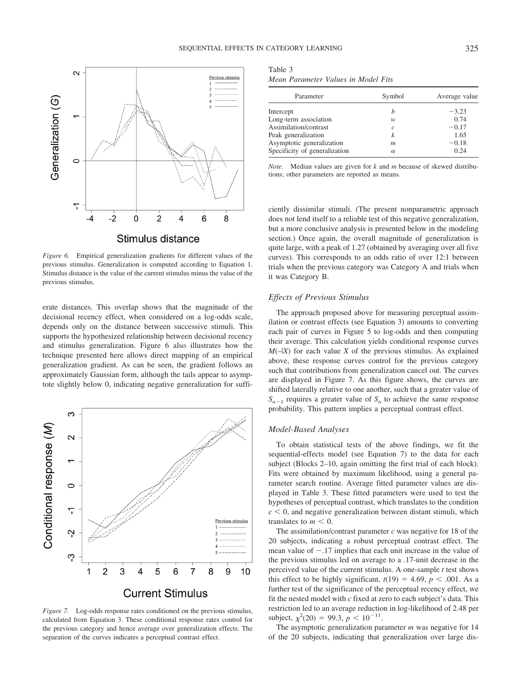

*Figure 6.* Empirical generalization gradients for different values of the previous stimulus. Generalization is computed according to Equation 1. Stimulus distance is the value of the current stimulus minus the value of the previous stimulus.

erate distances. This overlap shows that the magnitude of the decisional recency effect, when considered on a log-odds scale, depends only on the distance between successive stimuli. This supports the hypothesized relationship between decisional recency and stimulus generalization. Figure 6 also illustrates how the technique presented here allows direct mapping of an empirical generalization gradient. As can be seen, the gradient follows an approximately Gaussian form, although the tails appear to asymptote slightly below 0, indicating negative generalization for suffi-



*Figure 7.* Log-odds response rates conditioned on the previous stimulus, calculated from Equation 3. These conditional response rates control for the previous category and hence average over generalization effects. The separation of the curves indicates a perceptual contrast effect.

| Table 3 |                                     |  |  |
|---------|-------------------------------------|--|--|
|         | Mean Parameter Values in Model Fits |  |  |

| Parameter                     | Symbol                | Average value |
|-------------------------------|-----------------------|---------------|
| Intercept                     | b                     | $-3.23$       |
| Long-term association         | w                     | 0.74          |
| Assimilation/contrast         | $\mathcal{C}_{0}^{2}$ | $-0.17$       |
| Peak generalization           | k                     | 1.65          |
| Asymptotic generalization     | m                     | $-0.18$       |
| Specificity of generalization | $\alpha$              | 0.24          |
|                               |                       |               |

*Note.* Median values are given for *k* and *m* because of skewed distributions; other parameters are reported as means.

ciently dissimilar stimuli. (The present nonparametric approach does not lend itself to a reliable test of this negative generalization, but a more conclusive analysis is presented below in the modeling section.) Once again, the overall magnitude of generalization is quite large, with a peak of 1.27 (obtained by averaging over all five curves). This corresponds to an odds ratio of over 12:1 between trials when the previous category was Category A and trials when it was Category B.

#### *Effects of Previous Stimulus*

The approach proposed above for measuring perceptual assimilation or contrast effects (see Equation 3) amounts to converting each pair of curves in Figure 5 to log-odds and then computing their average. This calculation yields conditional response curves  $M(-|X)$  for each value X of the previous stimulus. As explained above, these response curves control for the previous category such that contributions from generalization cancel out. The curves are displayed in Figure 7. As this figure shows, the curves are shifted laterally relative to one another, such that a greater value of  $S_{n-1}$  requires a greater value of  $S_n$  to achieve the same response probability. This pattern implies a perceptual contrast effect.

## *Model-Based Analyses*

To obtain statistical tests of the above findings, we fit the sequential-effects model (see Equation 7) to the data for each subject (Blocks 2–10, again omitting the first trial of each block). Fits were obtained by maximum likelihood, using a general parameter search routine. Average fitted parameter values are displayed in Table 3. These fitted parameters were used to test the hypotheses of perceptual contrast, which translates to the condition  $c < 0$ , and negative generalization between distant stimuli, which translates to  $m < 0$ .

The assimilation/contrast parameter *c* was negative for 18 of the 20 subjects, indicating a robust perceptual contrast effect. The mean value of  $-.17$  implies that each unit increase in the value of the previous stimulus led on average to a .17-unit decrease in the perceived value of the current stimulus. A one-sample *t* test shows this effect to be highly significant,  $t(19) = 4.69$ ,  $p < .001$ . As a further test of the significance of the perceptual recency effect, we fit the nested model with *c* fixed at zero to each subject's data. This restriction led to an average reduction in log-likelihood of 2.48 per subject,  $\chi^2(20) = 99.3$ ,  $p < 10^{-11}$ .

The asymptotic generalization parameter *m* was negative for 14 of the 20 subjects, indicating that generalization over large dis-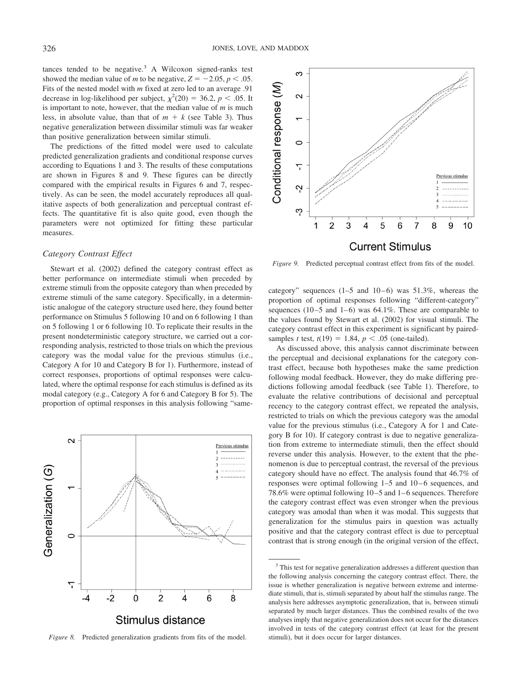tances tended to be negative.<sup>3</sup> A Wilcoxon signed-ranks test showed the median value of *m* to be negative,  $Z = -2.05$ ,  $p < .05$ . Fits of the nested model with *m* fixed at zero led to an average .91 decrease in log-likelihood per subject,  $\chi^2(20) = 36.2$ ,  $p < .05$ . It is important to note, however, that the median value of *m* is much less, in absolute value, than that of  $m + k$  (see Table 3). Thus negative generalization between dissimilar stimuli was far weaker than positive generalization between similar stimuli.

The predictions of the fitted model were used to calculate predicted generalization gradients and conditional response curves according to Equations 1 and 3. The results of these computations are shown in Figures 8 and 9. These figures can be directly compared with the empirical results in Figures 6 and 7, respectively. As can be seen, the model accurately reproduces all qualitative aspects of both generalization and perceptual contrast effects. The quantitative fit is also quite good, even though the parameters were not optimized for fitting these particular measures.

## *Category Contrast Effect*

Stewart et al. (2002) defined the category contrast effect as better performance on intermediate stimuli when preceded by extreme stimuli from the opposite category than when preceded by extreme stimuli of the same category. Specifically, in a deterministic analogue of the category structure used here, they found better performance on Stimulus 5 following 10 and on 6 following 1 than on 5 following 1 or 6 following 10. To replicate their results in the present nondeterministic category structure, we carried out a corresponding analysis, restricted to those trials on which the previous category was the modal value for the previous stimulus (i.e., Category A for 10 and Category B for 1). Furthermore, instead of correct responses, proportions of optimal responses were calculated, where the optimal response for each stimulus is defined as its modal category (e.g., Category A for 6 and Category B for 5). The proportion of optimal responses in this analysis following "same-



*Figure 8.* Predicted generalization gradients from fits of the model. stimuli), but it does occur for larger distances.



*Figure 9.* Predicted perceptual contrast effect from fits of the model.

category" sequences  $(1-5 \text{ and } 10-6)$  was  $51.3\%$ , whereas the proportion of optimal responses following "different-category" sequences  $(10-5 \text{ and } 1-6)$  was  $64.1\%$ . These are comparable to the values found by Stewart et al. (2002) for visual stimuli. The category contrast effect in this experiment is significant by pairedsamples *t* test,  $t(19) = 1.84$ ,  $p < .05$  (one-tailed).

As discussed above, this analysis cannot discriminate between the perceptual and decisional explanations for the category contrast effect, because both hypotheses make the same prediction following modal feedback. However, they do make differing predictions following amodal feedback (see Table 1). Therefore, to evaluate the relative contributions of decisional and perceptual recency to the category contrast effect, we repeated the analysis, restricted to trials on which the previous category was the amodal value for the previous stimulus (i.e., Category A for 1 and Category B for 10). If category contrast is due to negative generalization from extreme to intermediate stimuli, then the effect should reverse under this analysis. However, to the extent that the phenomenon is due to perceptual contrast, the reversal of the previous category should have no effect. The analysis found that 46.7% of responses were optimal following 1–5 and 10–6 sequences, and 78.6% were optimal following 10–5 and 1–6 sequences. Therefore the category contrast effect was even stronger when the previous category was amodal than when it was modal. This suggests that generalization for the stimulus pairs in question was actually positive and that the category contrast effect is due to perceptual contrast that is strong enough (in the original version of the effect,

<sup>&</sup>lt;sup>3</sup> This test for negative generalization addresses a different question than the following analysis concerning the category contrast effect. There, the issue is whether generalization is negative between extreme and intermediate stimuli, that is, stimuli separated by about half the stimulus range. The analysis here addresses asymptotic generalization, that is, between stimuli separated by much larger distances. Thus the combined results of the two analyses imply that negative generalization does not occur for the distances involved in tests of the category contrast effect (at least for the present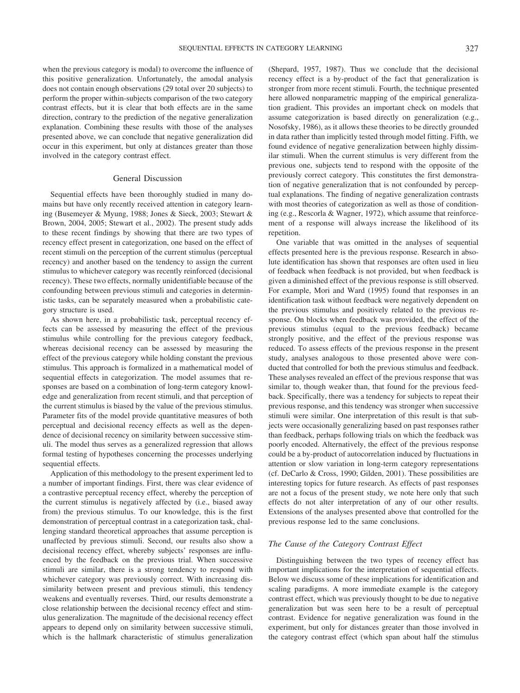when the previous category is modal) to overcome the influence of this positive generalization. Unfortunately, the amodal analysis does not contain enough observations (29 total over 20 subjects) to perform the proper within-subjects comparison of the two category contrast effects, but it is clear that both effects are in the same direction, contrary to the prediction of the negative generalization explanation. Combining these results with those of the analyses presented above, we can conclude that negative generalization did occur in this experiment, but only at distances greater than those involved in the category contrast effect.

# General Discussion

Sequential effects have been thoroughly studied in many domains but have only recently received attention in category learning (Busemeyer & Myung, 1988; Jones & Sieck, 2003; Stewart & Brown, 2004, 2005; Stewart et al., 2002). The present study adds to these recent findings by showing that there are two types of recency effect present in categorization, one based on the effect of recent stimuli on the perception of the current stimulus (perceptual recency) and another based on the tendency to assign the current stimulus to whichever category was recently reinforced (decisional recency). These two effects, normally unidentifiable because of the confounding between previous stimuli and categories in deterministic tasks, can be separately measured when a probabilistic category structure is used.

As shown here, in a probabilistic task, perceptual recency effects can be assessed by measuring the effect of the previous stimulus while controlling for the previous category feedback, whereas decisional recency can be assessed by measuring the effect of the previous category while holding constant the previous stimulus. This approach is formalized in a mathematical model of sequential effects in categorization. The model assumes that responses are based on a combination of long-term category knowledge and generalization from recent stimuli, and that perception of the current stimulus is biased by the value of the previous stimulus. Parameter fits of the model provide quantitative measures of both perceptual and decisional recency effects as well as the dependence of decisional recency on similarity between successive stimuli. The model thus serves as a generalized regression that allows formal testing of hypotheses concerning the processes underlying sequential effects.

Application of this methodology to the present experiment led to a number of important findings. First, there was clear evidence of a contrastive perceptual recency effect, whereby the perception of the current stimulus is negatively affected by (i.e., biased away from) the previous stimulus. To our knowledge, this is the first demonstration of perceptual contrast in a categorization task, challenging standard theoretical approaches that assume perception is unaffected by previous stimuli. Second, our results also show a decisional recency effect, whereby subjects' responses are influenced by the feedback on the previous trial. When successive stimuli are similar, there is a strong tendency to respond with whichever category was previously correct. With increasing dissimilarity between present and previous stimuli, this tendency weakens and eventually reverses. Third, our results demonstrate a close relationship between the decisional recency effect and stimulus generalization. The magnitude of the decisional recency effect appears to depend only on similarity between successive stimuli, which is the hallmark characteristic of stimulus generalization

(Shepard, 1957, 1987). Thus we conclude that the decisional recency effect is a by-product of the fact that generalization is stronger from more recent stimuli. Fourth, the technique presented here allowed nonparametric mapping of the empirical generalization gradient. This provides an important check on models that assume categorization is based directly on generalization (e.g., Nosofsky, 1986), as it allows these theories to be directly grounded in data rather than implicitly tested through model fitting. Fifth, we found evidence of negative generalization between highly dissimilar stimuli. When the current stimulus is very different from the previous one, subjects tend to respond with the opposite of the previously correct category. This constitutes the first demonstration of negative generalization that is not confounded by perceptual explanations. The finding of negative generalization contrasts with most theories of categorization as well as those of conditioning (e.g., Rescorla & Wagner, 1972), which assume that reinforcement of a response will always increase the likelihood of its repetition.

One variable that was omitted in the analyses of sequential effects presented here is the previous response. Research in absolute identification has shown that responses are often used in lieu of feedback when feedback is not provided, but when feedback is given a diminished effect of the previous response is still observed. For example, Mori and Ward (1995) found that responses in an identification task without feedback were negatively dependent on the previous stimulus and positively related to the previous response. On blocks when feedback was provided, the effect of the previous stimulus (equal to the previous feedback) became strongly positive, and the effect of the previous response was reduced. To assess effects of the previous response in the present study, analyses analogous to those presented above were conducted that controlled for both the previous stimulus and feedback. These analyses revealed an effect of the previous response that was similar to, though weaker than, that found for the previous feedback. Specifically, there was a tendency for subjects to repeat their previous response, and this tendency was stronger when successive stimuli were similar. One interpretation of this result is that subjects were occasionally generalizing based on past responses rather than feedback, perhaps following trials on which the feedback was poorly encoded. Alternatively, the effect of the previous response could be a by-product of autocorrelation induced by fluctuations in attention or slow variation in long-term category representations (cf. DeCarlo & Cross, 1990; Gilden, 2001). These possibilities are interesting topics for future research. As effects of past responses are not a focus of the present study, we note here only that such effects do not alter interpretation of any of our other results. Extensions of the analyses presented above that controlled for the previous response led to the same conclusions.

# *The Cause of the Category Contrast Effect*

Distinguishing between the two types of recency effect has important implications for the interpretation of sequential effects. Below we discuss some of these implications for identification and scaling paradigms. A more immediate example is the category contrast effect, which was previously thought to be due to negative generalization but was seen here to be a result of perceptual contrast. Evidence for negative generalization was found in the experiment, but only for distances greater than those involved in the category contrast effect (which span about half the stimulus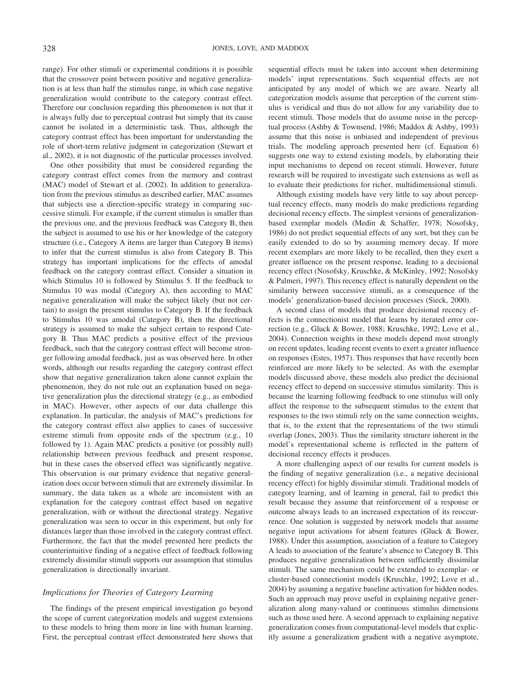range). For other stimuli or experimental conditions it is possible that the crossover point between positive and negative generalization is at less than half the stimulus range, in which case negative generalization would contribute to the category contrast effect. Therefore our conclusion regarding this phenomenon is not that it is always fully due to perceptual contrast but simply that its cause cannot be isolated in a deterministic task. Thus, although the category contrast effect has been important for understanding the role of short-term relative judgment in categorization (Stewart et al., 2002), it is not diagnostic of the particular processes involved.

One other possibility that must be considered regarding the category contrast effect comes from the memory and contrast (MAC) model of Stewart et al. (2002). In addition to generalization from the previous stimulus as described earlier, MAC assumes that subjects use a direction-specific strategy in comparing successive stimuli. For example, if the current stimulus is smaller than the previous one, and the previous feedback was Category B, then the subject is assumed to use his or her knowledge of the category structure (i.e., Category A items are larger than Category B items) to infer that the current stimulus is also from Category B. This strategy has important implications for the effects of amodal feedback on the category contrast effect. Consider a situation in which Stimulus 10 is followed by Stimulus 5. If the feedback to Stimulus 10 was modal (Category A), then according to MAC negative generalization will make the subject likely (but not certain) to assign the present stimulus to Category B. If the feedback to Stimulus 10 was amodal (Category B), then the directional strategy is assumed to make the subject certain to respond Category B. Thus MAC predicts a positive effect of the previous feedback, such that the category contrast effect will become stronger following amodal feedback, just as was observed here. In other words, although our results regarding the category contrast effect show that negative generalization taken alone cannot explain the phenomenon, they do not rule out an explanation based on negative generalization plus the directional strategy (e.g., as embodied in MAC). However, other aspects of our data challenge this explanation. In particular, the analysis of MAC's predictions for the category contrast effect also applies to cases of successive extreme stimuli from opposite ends of the spectrum (e.g., 10 followed by 1). Again MAC predicts a positive (or possibly null) relationship between previous feedback and present response, but in these cases the observed effect was significantly negative. This observation is our primary evidence that negative generalization does occur between stimuli that are extremely dissimilar. In summary, the data taken as a whole are inconsistent with an explanation for the category contrast effect based on negative generalization, with or without the directional strategy. Negative generalization was seen to occur in this experiment, but only for distances larger than those involved in the category contrast effect. Furthermore, the fact that the model presented here predicts the counterintuitive finding of a negative effect of feedback following extremely dissimilar stimuli supports our assumption that stimulus generalization is directionally invariant.

# *Implications for Theories of Category Learning*

The findings of the present empirical investigation go beyond the scope of current categorization models and suggest extensions to these models to bring them more in line with human learning. First, the perceptual contrast effect demonstrated here shows that sequential effects must be taken into account when determining models' input representations. Such sequential effects are not anticipated by any model of which we are aware. Nearly all categorization models assume that perception of the current stimulus is veridical and thus do not allow for any variability due to recent stimuli. Those models that do assume noise in the perceptual process (Ashby & Townsend, 1986; Maddox & Ashby, 1993) assume that this noise is unbiased and independent of previous trials. The modeling approach presented here (cf. Equation 6) suggests one way to extend existing models, by elaborating their input mechanisms to depend on recent stimuli. However, future research will be required to investigate such extensions as well as to evaluate their predictions for richer, multidimensional stimuli.

Although existing models have very little to say about perceptual recency effects, many models do make predictions regarding decisional recency effects. The simplest versions of generalizationbased exemplar models (Medin & Schaffer, 1978; Nosofsky, 1986) do not predict sequential effects of any sort, but they can be easily extended to do so by assuming memory decay. If more recent exemplars are more likely to be recalled, then they exert a greater influence on the present response, leading to a decisional recency effect (Nosofsky, Kruschke, & McKinley, 1992; Nosofsky & Palmeri, 1997). This recency effect is naturally dependent on the similarity between successive stimuli, as a consequence of the models' generalization-based decision processes (Sieck, 2000).

A second class of models that produce decisional recency effects is the connectionist model that learns by iterated error correction (e.g., Gluck & Bower, 1988; Kruschke, 1992; Love et al., 2004). Connection weights in these models depend most strongly on recent updates, leading recent events to exert a greater influence on responses (Estes, 1957). Thus responses that have recently been reinforced are more likely to be selected. As with the exemplar models discussed above, these models also predict the decisional recency effect to depend on successive stimulus similarity. This is because the learning following feedback to one stimulus will only affect the response to the subsequent stimulus to the extent that responses to the two stimuli rely on the same connection weights, that is, to the extent that the representations of the two stimuli overlap (Jones, 2003). Thus the similarity structure inherent in the model's representational scheme is reflected in the pattern of decisional recency effects it produces.

A more challenging aspect of our results for current models is the finding of negative generalization (i.e., a negative decisional recency effect) for highly dissimilar stimuli. Traditional models of category learning, and of learning in general, fail to predict this result because they assume that reinforcement of a response or outcome always leads to an increased expectation of its reoccurrence. One solution is suggested by network models that assume negative input activations for absent features (Gluck & Bower, 1988). Under this assumption, association of a feature to Category A leads to association of the feature's absence to Category B. This produces negative generalization between sufficiently dissimilar stimuli. The same mechanism could be extended to exemplar- or cluster-based connectionist models (Kruschke, 1992; Love et al., 2004) by assuming a negative baseline activation for hidden nodes. Such an approach may prove useful in explaining negative generalization along many-valued or continuous stimulus dimensions such as those used here. A second approach to explaining negative generalization comes from computational-level models that explicitly assume a generalization gradient with a negative asymptote,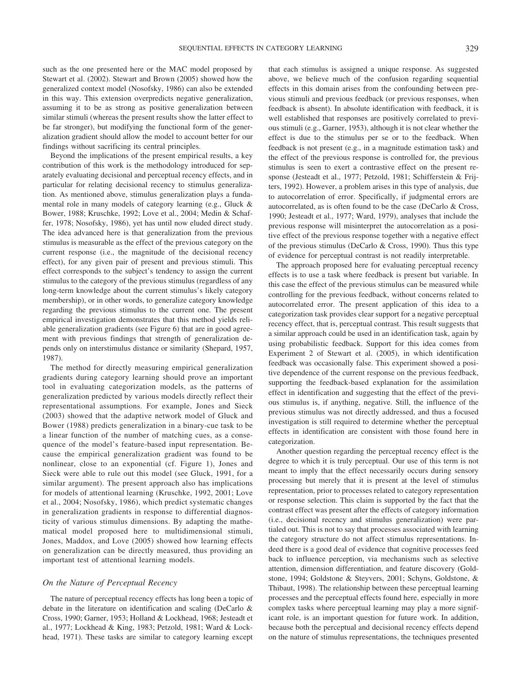such as the one presented here or the MAC model proposed by Stewart et al. (2002). Stewart and Brown (2005) showed how the generalized context model (Nosofsky, 1986) can also be extended in this way. This extension overpredicts negative generalization, assuming it to be as strong as positive generalization between similar stimuli (whereas the present results show the latter effect to be far stronger), but modifying the functional form of the generalization gradient should allow the model to account better for our findings without sacrificing its central principles.

Beyond the implications of the present empirical results, a key contribution of this work is the methodology introduced for separately evaluating decisional and perceptual recency effects, and in particular for relating decisional recency to stimulus generalization. As mentioned above, stimulus generalization plays a fundamental role in many models of category learning (e.g., Gluck & Bower, 1988; Kruschke, 1992; Love et al., 2004; Medin & Schaffer, 1978; Nosofsky, 1986), yet has until now eluded direct study. The idea advanced here is that generalization from the previous stimulus is measurable as the effect of the previous category on the current response (i.e., the magnitude of the decisional recency effect), for any given pair of present and previous stimuli. This effect corresponds to the subject's tendency to assign the current stimulus to the category of the previous stimulus (regardless of any long-term knowledge about the current stimulus's likely category membership), or in other words, to generalize category knowledge regarding the previous stimulus to the current one. The present empirical investigation demonstrates that this method yields reliable generalization gradients (see Figure 6) that are in good agreement with previous findings that strength of generalization depends only on interstimulus distance or similarity (Shepard, 1957, 1987).

The method for directly measuring empirical generalization gradients during category learning should prove an important tool in evaluating categorization models, as the patterns of generalization predicted by various models directly reflect their representational assumptions. For example, Jones and Sieck (2003) showed that the adaptive network model of Gluck and Bower (1988) predicts generalization in a binary-cue task to be a linear function of the number of matching cues, as a consequence of the model's feature-based input representation. Because the empirical generalization gradient was found to be nonlinear, close to an exponential (cf. Figure 1), Jones and Sieck were able to rule out this model (see Gluck, 1991, for a similar argument). The present approach also has implications for models of attentional learning (Kruschke, 1992, 2001; Love et al., 2004; Nosofsky, 1986), which predict systematic changes in generalization gradients in response to differential diagnosticity of various stimulus dimensions. By adapting the mathematical model proposed here to multidimensional stimuli, Jones, Maddox, and Love (2005) showed how learning effects on generalization can be directly measured, thus providing an important test of attentional learning models.

#### *On the Nature of Perceptual Recency*

The nature of perceptual recency effects has long been a topic of debate in the literature on identification and scaling (DeCarlo & Cross, 1990; Garner, 1953; Holland & Lockhead, 1968; Jesteadt et al., 1977; Lockhead & King, 1983; Petzold, 1981; Ward & Lockhead, 1971). These tasks are similar to category learning except that each stimulus is assigned a unique response. As suggested above, we believe much of the confusion regarding sequential effects in this domain arises from the confounding between previous stimuli and previous feedback (or previous responses, when feedback is absent). In absolute identification with feedback, it is well established that responses are positively correlated to previous stimuli (e.g., Garner, 1953), although it is not clear whether the effect is due to the stimulus per se or to the feedback. When feedback is not present (e.g., in a magnitude estimation task) and the effect of the previous response is controlled for, the previous stimulus is seen to exert a contrastive effect on the present response (Jesteadt et al., 1977; Petzold, 1981; Schifferstein & Frijters, 1992). However, a problem arises in this type of analysis, due to autocorrelation of error. Specifically, if judgmental errors are autocorrelated, as is often found to be the case (DeCarlo & Cross, 1990; Jesteadt et al., 1977; Ward, 1979), analyses that include the previous response will misinterpret the autocorrelation as a positive effect of the previous response together with a negative effect of the previous stimulus (DeCarlo & Cross, 1990). Thus this type of evidence for perceptual contrast is not readily interpretable.

The approach proposed here for evaluating perceptual recency effects is to use a task where feedback is present but variable. In this case the effect of the previous stimulus can be measured while controlling for the previous feedback, without concerns related to autocorrelated error. The present application of this idea to a categorization task provides clear support for a negative perceptual recency effect, that is, perceptual contrast. This result suggests that a similar approach could be used in an identification task, again by using probabilistic feedback. Support for this idea comes from Experiment 2 of Stewart et al. (2005), in which identification feedback was occasionally false. This experiment showed a positive dependence of the current response on the previous feedback, supporting the feedback-based explanation for the assimilation effect in identification and suggesting that the effect of the previous stimulus is, if anything, negative. Still, the influence of the previous stimulus was not directly addressed, and thus a focused investigation is still required to determine whether the perceptual effects in identification are consistent with those found here in categorization.

Another question regarding the perceptual recency effect is the degree to which it is truly perceptual. Our use of this term is not meant to imply that the effect necessarily occurs during sensory processing but merely that it is present at the level of stimulus representation, prior to processes related to category representation or response selection. This claim is supported by the fact that the contrast effect was present after the effects of category information (i.e., decisional recency and stimulus generalization) were partialed out. This is not to say that processes associated with learning the category structure do not affect stimulus representations. Indeed there is a good deal of evidence that cognitive processes feed back to influence perception, via mechanisms such as selective attention, dimension differentiation, and feature discovery (Goldstone, 1994; Goldstone & Steyvers, 2001; Schyns, Goldstone, & Thibaut, 1998). The relationship between these perceptual learning processes and the perceptual effects found here, especially in more complex tasks where perceptual learning may play a more significant role, is an important question for future work. In addition, because both the perceptual and decisional recency effects depend on the nature of stimulus representations, the techniques presented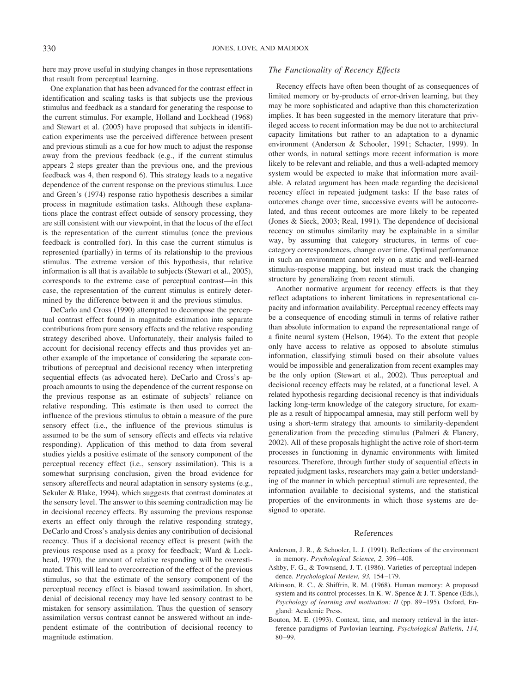here may prove useful in studying changes in those representations that result from perceptual learning.

One explanation that has been advanced for the contrast effect in identification and scaling tasks is that subjects use the previous stimulus and feedback as a standard for generating the response to the current stimulus. For example, Holland and Lockhead (1968) and Stewart et al. (2005) have proposed that subjects in identification experiments use the perceived difference between present and previous stimuli as a cue for how much to adjust the response away from the previous feedback (e.g., if the current stimulus appears 2 steps greater than the previous one, and the previous feedback was 4, then respond 6). This strategy leads to a negative dependence of the current response on the previous stimulus. Luce and Green's (1974) response ratio hypothesis describes a similar process in magnitude estimation tasks. Although these explanations place the contrast effect outside of sensory processing, they are still consistent with our viewpoint, in that the locus of the effect is the representation of the current stimulus (once the previous feedback is controlled for). In this case the current stimulus is represented (partially) in terms of its relationship to the previous stimulus. The extreme version of this hypothesis, that relative information is all that is available to subjects (Stewart et al., 2005), corresponds to the extreme case of perceptual contrast—in this case, the representation of the current stimulus is entirely determined by the difference between it and the previous stimulus.

DeCarlo and Cross (1990) attempted to decompose the perceptual contrast effect found in magnitude estimation into separate contributions from pure sensory effects and the relative responding strategy described above. Unfortunately, their analysis failed to account for decisional recency effects and thus provides yet another example of the importance of considering the separate contributions of perceptual and decisional recency when interpreting sequential effects (as advocated here). DeCarlo and Cross's approach amounts to using the dependence of the current response on the previous response as an estimate of subjects' reliance on relative responding. This estimate is then used to correct the influence of the previous stimulus to obtain a measure of the pure sensory effect (i.e., the influence of the previous stimulus is assumed to be the sum of sensory effects and effects via relative responding). Application of this method to data from several studies yields a positive estimate of the sensory component of the perceptual recency effect (i.e., sensory assimilation). This is a somewhat surprising conclusion, given the broad evidence for sensory aftereffects and neural adaptation in sensory systems (e.g., Sekuler & Blake, 1994), which suggests that contrast dominates at the sensory level. The answer to this seeming contradiction may lie in decisional recency effects. By assuming the previous response exerts an effect only through the relative responding strategy, DeCarlo and Cross's analysis denies any contribution of decisional recency. Thus if a decisional recency effect is present (with the previous response used as a proxy for feedback; Ward & Lockhead, 1970), the amount of relative responding will be overestimated. This will lead to overcorrection of the effect of the previous stimulus, so that the estimate of the sensory component of the perceptual recency effect is biased toward assimilation. In short, denial of decisional recency may have led sensory contrast to be mistaken for sensory assimilation. Thus the question of sensory assimilation versus contrast cannot be answered without an independent estimate of the contribution of decisional recency to magnitude estimation.

# *The Functionality of Recency Effects*

Recency effects have often been thought of as consequences of limited memory or by-products of error-driven learning, but they may be more sophisticated and adaptive than this characterization implies. It has been suggested in the memory literature that privileged access to recent information may be due not to architectural capacity limitations but rather to an adaptation to a dynamic environment (Anderson & Schooler, 1991; Schacter, 1999). In other words, in natural settings more recent information is more likely to be relevant and reliable, and thus a well-adapted memory system would be expected to make that information more available. A related argument has been made regarding the decisional recency effect in repeated judgment tasks: If the base rates of outcomes change over time, successive events will be autocorrelated, and thus recent outcomes are more likely to be repeated (Jones & Sieck, 2003; Real, 1991). The dependence of decisional recency on stimulus similarity may be explainable in a similar way, by assuming that category structures, in terms of cuecategory correspondences, change over time. Optimal performance in such an environment cannot rely on a static and well-learned stimulus-response mapping, but instead must track the changing structure by generalizing from recent stimuli.

Another normative argument for recency effects is that they reflect adaptations to inherent limitations in representational capacity and information availability. Perceptual recency effects may be a consequence of encoding stimuli in terms of relative rather than absolute information to expand the representational range of a finite neural system (Helson, 1964). To the extent that people only have access to relative as opposed to absolute stimulus information, classifying stimuli based on their absolute values would be impossible and generalization from recent examples may be the only option (Stewart et al., 2002). Thus perceptual and decisional recency effects may be related, at a functional level. A related hypothesis regarding decisional recency is that individuals lacking long-term knowledge of the category structure, for example as a result of hippocampal amnesia, may still perform well by using a short-term strategy that amounts to similarity-dependent generalization from the preceding stimulus (Palmeri & Flanery, 2002). All of these proposals highlight the active role of short-term processes in functioning in dynamic environments with limited resources. Therefore, through further study of sequential effects in repeated judgment tasks, researchers may gain a better understanding of the manner in which perceptual stimuli are represented, the information available to decisional systems, and the statistical properties of the environments in which those systems are designed to operate.

# References

- Anderson, J. R., & Schooler, L. J. (1991). Reflections of the environment in memory. *Psychological Science, 2,* 396–408.
- Ashby, F. G., & Townsend, J. T. (1986). Varieties of perceptual independence. *Psychological Review, 93,* 154–179.
- Atkinson, R. C., & Shiffrin, R. M. (1968). Human memory: A proposed system and its control processes. In K. W. Spence & J. T. Spence (Eds.), *Psychology of learning and motivation: II* (pp. 89–195)*.* Oxford, England: Academic Press.
- Bouton, M. E. (1993). Context, time, and memory retrieval in the interference paradigms of Pavlovian learning. *Psychological Bulletin, 114,* 80–99.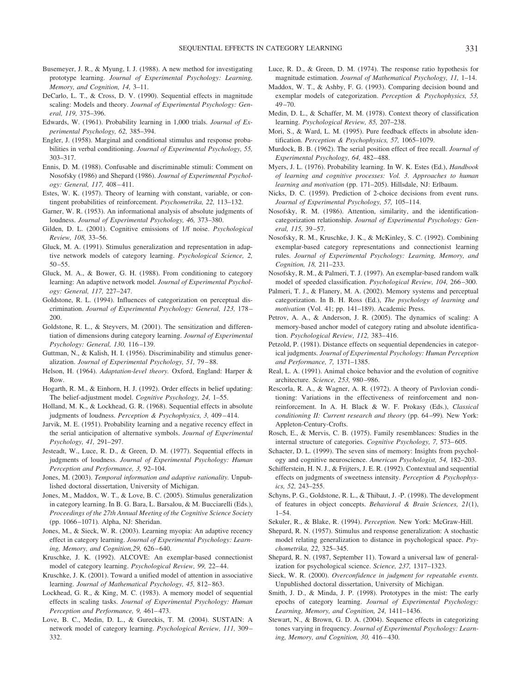- Busemeyer, J. R., & Myung, I. J. (1988). A new method for investigating prototype learning. *Journal of Experimental Psychology: Learning, Memory, and Cognition, 14,* 3–11.
- DeCarlo, L. T., & Cross, D. V. (1990). Sequential effects in magnitude scaling: Models and theory. *Journal of Experimental Psychology: General, 119,* 375–396.
- Edwards, W. (1961). Probability learning in 1,000 trials. *Journal of Experimental Psychology, 62,* 385–394.
- Engler, J. (1958). Marginal and conditional stimulus and response probabilities in verbal conditioning. *Journal of Experimental Psychology, 55,* 303–317.
- Ennis, D. M. (1988). Confusable and discriminable stimuli: Comment on Nosofsky (1986) and Shepard (1986). *Journal of Experimental Psychology: General, 117,* 408–411.
- Estes, W. K. (1957). Theory of learning with constant, variable, or contingent probabilities of reinforcement. *Psychometrika, 22,* 113–132.
- Garner, W. R. (1953). An informational analysis of absolute judgments of loudness. *Journal of Experimental Psychology, 46,* 373–380.
- Gilden, D. L. (2001). Cognitive emissions of 1/f noise. *Psychological Review, 108,* 33–56.
- Gluck, M. A. (1991). Stimulus generalization and representation in adaptive network models of category learning. *Psychological Science, 2,* 50–55.
- Gluck, M. A., & Bower, G. H. (1988). From conditioning to category learning: An adaptive network model. *Journal of Experimental Psychology: General, 117,* 227–247.
- Goldstone, R. L. (1994). Influences of categorization on perceptual discrimination. *Journal of Experimental Psychology: General, 123,* 178– 200.
- Goldstone, R. L., & Steyvers, M. (2001). The sensitization and differentiation of dimensions during category learning. *Journal of Experimental Psychology: General, 130,* 116–139.
- Guttman, N., & Kalish, H. I. (1956). Discriminability and stimulus generalization. *Journal of Experimental Psychology, 51,* 79–88.
- Helson, H. (1964). *Adaptation-level theory.* Oxford, England: Harper & Row.
- Hogarth, R. M., & Einhorn, H. J. (1992). Order effects in belief updating: The belief-adjustment model. *Cognitive Psychology, 24,* 1–55.
- Holland, M. K., & Lockhead, G. R. (1968). Sequential effects in absolute judgments of loudness. *Perception & Psychophysics, 3,* 409–414.
- Jarvik, M. E. (1951). Probability learning and a negative recency effect in the serial anticipation of alternative symbols. *Journal of Experimental Psychology, 41,* 291–297.
- Jesteadt, W., Luce, R. D., & Green, D. M. (1977). Sequential effects in judgments of loudness. *Journal of Experimental Psychology: Human Perception and Performance, 3,* 92–104.
- Jones, M. (2003). *Temporal information and adaptive rationality.* Unpublished doctoral dissertation, University of Michigan.
- Jones, M., Maddox, W. T., & Love, B. C. (2005). Stimulus generalization in category learning. In B. G. Bara, L. Barsalou, & M. Bucciarelli (Eds.), *Proceedings of the 27th Annual Meeting of the Cognitive Science Society* (pp. 1066–1071)*.* Alpha, NJ: Sheridan.
- Jones, M., & Sieck, W. R. (2003). Learning myopia: An adaptive recency effect in category learning. *Journal of Experimental Psychology: Learning, Memory, and Cognition,29,* 626–640.
- Kruschke, J. K. (1992). ALCOVE: An exemplar-based connectionist model of category learning. *Psychological Review, 99,* 22–44.
- Kruschke, J. K. (2001). Toward a unified model of attention in associative learning. *Journal of Mathematical Psychology, 45,* 812–863.
- Lockhead, G. R., & King, M. C. (1983). A memory model of sequential effects in scaling tasks. *Journal of Experimental Psychology: Human Perception and Performance, 9,* 461–473.
- Love, B. C., Medin, D. L., & Gureckis, T. M. (2004). SUSTAIN: A network model of category learning. *Psychological Review, 111,* 309– 332.
- Luce, R. D., & Green, D. M. (1974). The response ratio hypothesis for magnitude estimation. *Journal of Mathematical Psychology, 11,* 1–14.
- Maddox, W. T., & Ashby, F. G. (1993). Comparing decision bound and exemplar models of categorization. *Perception & Psychophysics, 53,* 49–70.
- Medin, D. L., & Schaffer, M. M. (1978). Context theory of classification learning. *Psychological Review, 85,* 207–238.
- Mori, S., & Ward, L. M. (1995). Pure feedback effects in absolute identification. *Perception & Psychophysics, 57,* 1065–1079.
- Murdock, B. B. (1962). The serial position effect of free recall. *Journal of Experimental Psychology, 64,* 482–488.
- Myers, J. L. (1976). Probability learning. In W. K. Estes (Ed.), *Handbook of learning and cognitive processes: Vol. 3. Approaches to human learning and motivation* (pp. 171–205). Hillsdale, NJ: Erlbaum.
- Nicks, D. C. (1959). Prediction of 2-choice decisions from event runs. *Journal of Experimental Psychology, 57,* 105–114.
- Nosofsky, R. M. (1986). Attention, similarity, and the identificationcategorization relationship. *Journal of Experimental Psychology: General, 115,* 39–57.
- Nosofsky, R. M., Kruschke, J. K., & McKinley, S. C. (1992). Combining exemplar-based category representations and connectionist learning rules. *Journal of Experimental Psychology: Learning, Memory, and Cognition, 18,* 211–233.
- Nosofsky, R. M., & Palmeri, T. J. (1997). An exemplar-based random walk model of speeded classification. *Psychological Review, 104,* 266–300.
- Palmeri, T. J., & Flanery, M. A. (2002). Memory systems and perceptual categorization. In B. H. Ross (Ed.), *The psychology of learning and motivation* (Vol. 41; pp. 141–189). Academic Press.
- Petrov, A. A., & Anderson, J. R. (2005). The dynamics of scaling: A memory-based anchor model of category rating and absolute identification. *Psychological Review, 112,* 383–416.
- Petzold, P. (1981). Distance effects on sequential dependencies in categorical judgments. *Journal of Experimental Psychology: Human Perception and Performance, 7,* 1371–1385.
- Real, L. A. (1991). Animal choice behavior and the evolution of cognitive architecture. *Science, 253,* 980–986.
- Rescorla, R. A., & Wagner, A. R. (1972). A theory of Pavlovian conditioning: Variations in the effectiveness of reinforcement and nonreinforcement. In A. H. Black & W. F. Prokasy (Eds.), *Classical conditioning II: Current research and theory* (pp. 64–99)*.* New York: Appleton-Century-Crofts.
- Rosch, E., & Mervis, C. B. (1975). Family resemblances: Studies in the internal structure of categories. *Cognitive Psychology, 7,* 573–605.
- Schacter, D. L. (1999). The seven sins of memory: Insights from psychology and cognitive neuroscience. *American Psychologist, 54,* 182–203.
- Schifferstein, H. N. J., & Frijters, J. E. R. (1992). Contextual and sequential effects on judgments of sweetness intensity. *Perception & Psychophysics, 52,* 243–255.
- Schyns, P. G., Goldstone, R. L., & Thibaut, J. -P. (1998). The development of features in object concepts. *Behavioral & Brain Sciences, 21*(1), 1–54.
- Sekuler, R., & Blake, R. (1994). *Perception.* New York: McGraw-Hill.
- Shepard, R. N. (1957). Stimulus and response generalization: A stochastic model relating generalization to distance in psychological space. *Psychometrika, 22,* 325–345.
- Shepard, R. N. (1987, September 11). Toward a universal law of generalization for psychological science. *Science, 237,* 1317–1323.
- Sieck, W. R. (2000). *Overconfidence in judgment for repeatable events.* Unpublished doctoral dissertation, University of Michigan.
- Smith, J. D., & Minda, J. P. (1998). Prototypes in the mist: The early epochs of category learning. *Journal of Experimental Psychology: Learning, Memory, and Cognition, 24,* 1411–1436.
- Stewart, N., & Brown, G. D. A. (2004). Sequence effects in categorizing tones varying in frequency. *Journal of Experimental Psychology: Learning, Memory, and Cognition, 30,* 416–430.